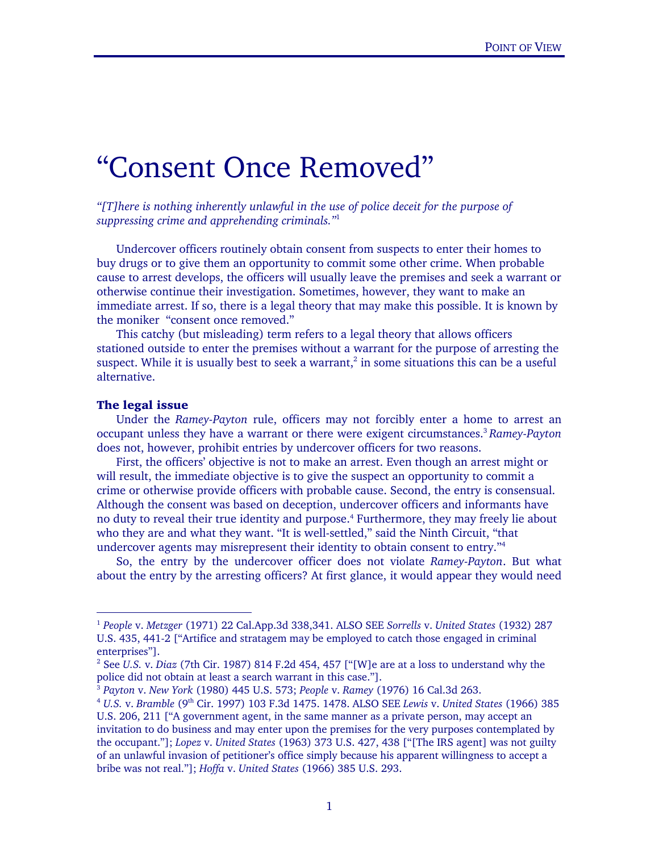# "Consent Once Removed"

*"[T]here is nothing inherently unlawful in the use of police deceit for the purpose of suppressing crime and apprehending criminals."*[1](#page-0-0)

Undercover officers routinely obtain consent from suspects to enter their homes to buy drugs or to give them an opportunity to commit some other crime. When probable cause to arrest develops, the officers will usually leave the premises and seek a warrant or otherwise continue their investigation. Sometimes, however, they want to make an immediate arrest. If so, there is a legal theory that may make this possible. It is known by the moniker "consent once removed."

This catchy (but misleading) term refers to a legal theory that allows officers stationed outside to enter the premises without a warrant for the purpose of arresting the suspect. While it is usually best to seek a warrant,<sup>[2](#page-0-1)</sup> in some situations this can be a useful alternative.

#### The legal issue

Under the *Ramey-Payton* rule, officers may not forcibly enter a home to arrest an occupant unless they have a warrant or there were exigent circumstances[.3](#page-0-2) *Ramey-Payton* does not, however, prohibit entries by undercover officers for two reasons.

First, the officers' objective is not to make an arrest. Even though an arrest might or will result, the immediate objective is to give the suspect an opportunity to commit a crime or otherwise provide officers with probable cause. Second, the entry is consensual. Although the consent was based on deception, undercover officers and informants have no duty to reveal their true identity and purpose. 4 Furthermore, they may freely lie about who they are and what they want. "It is well-settled," said the Ninth Circuit, "that undercover agents may misrepresent their identity to obtain consent to entry."[4](#page-0-3)

So, the entry by the undercover officer does not violate *Ramey-Payton*. But what about the entry by the arresting officers? At first glance, it would appear they would need

<span id="page-0-0"></span> <sup>1</sup> *People* v. *Metzger* (1971) 22 Cal.App.3d 338,341. ALSO SEE *Sorrells* v. *United States* (1932) 287 U.S. 435, 441-2 ["Artifice and stratagem may be employed to catch those engaged in criminal enterprises"].

<span id="page-0-1"></span><sup>2</sup> See *U.S.* v. *Diaz* (7th Cir. 1987) 814 F.2d 454, 457 ["[W]e are at a loss to understand why the police did not obtain at least a search warrant in this case."].<br><sup>3</sup> Payton v. New York (1980) 445 U.S. 573; People v. Ramey (1976) 16 Cal.3d 263.<br><sup>4</sup> U.S. v. Bramble (9<sup>th</sup> Cir. 1997) 103 F.3d 1475. 1478. ALSO SEE Lewis v

<span id="page-0-2"></span>

<span id="page-0-3"></span>U.S. 206, 211 ["A government agent, in the same manner as a private person, may accept an invitation to do business and may enter upon the premises for the very purposes contemplated by the occupant."]; *Lopez* v. *United States* (1963) 373 U.S. 427, 438 ["[The IRS agent] was not guilty of an unlawful invasion of petitioner's office simply because his apparent willingness to accept a bribe was not real."]; *Hoffa* v. *United States* (1966) 385 U.S. 293.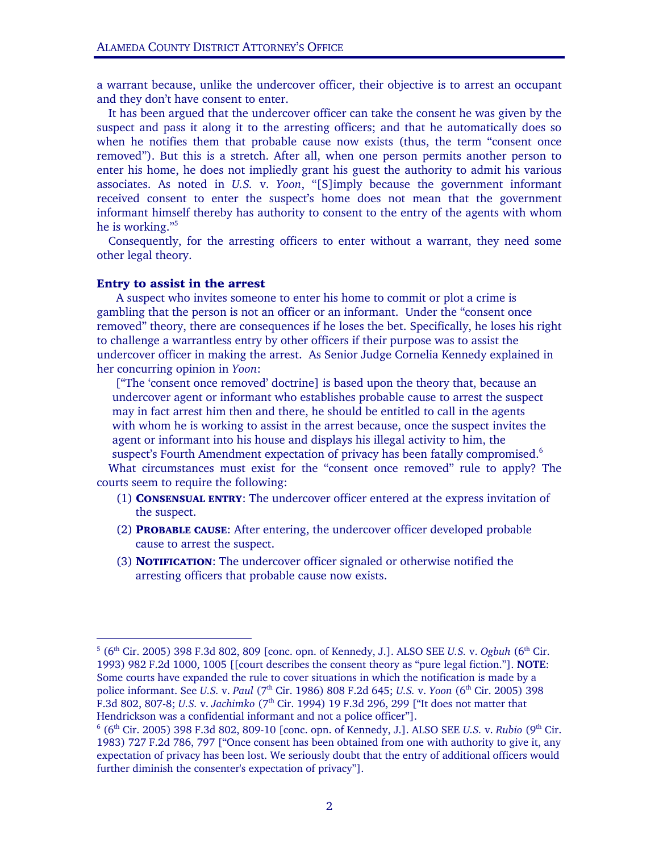a warrant because, unlike the undercover officer, their objective is to arrest an occupant and they don't have consent to enter.

It has been argued that the undercover officer can take the consent he was given by the suspect and pass it along it to the arresting officers; and that he automatically does so when he notifies them that probable cause now exists (thus, the term "consent once removed"). But this is a stretch. After all, when one person permits another person to enter his home, he does not impliedly grant his guest the authority to admit his various associates. As noted in *U.S.* v. *Yoon*, "[S]imply because the government informant received consent to enter the suspect's home does not mean that the government informant himself thereby has authority to consent to the entry of the agents with whom he is working.["5](#page-1-0)

Consequently, for the arresting officers to enter without a warrant, they need some other legal theory.

## Entry to assist in the arrest

A suspect who invites someone to enter his home to commit or plot a crime is gambling that the person is not an officer or an informant. Under the "consent once removed" theory, there are consequences if he loses the bet. Specifically, he loses his right to challenge a warrantless entry by other officers if their purpose was to assist the undercover officer in making the arrest. As Senior Judge Cornelia Kennedy explained in her concurring opinion in *Yoon*:

 ["The 'consent once removed' doctrine] is based upon the theory that, because an undercover agent or informant who establishes probable cause to arrest the suspect may in fact arrest him then and there, he should be entitled to call in the agents with whom he is working to assist in the arrest because, once the suspect invites the agent or informant into his house and displays his illegal activity to him, the suspect's Fourth Amendment expectation of privacy has been fatally compromised.<sup>[6](#page-1-1)</sup> What circumstances must exist for the "consent once removed" rule to apply? The

courts seem to require the following:

- (1) CONSENSUAL ENTRY: The undercover officer entered at the express invitation of the suspect.
- (2) PROBABLE CAUSE: After entering, the undercover officer developed probable cause to arrest the suspect.
- (3) NOTIFICATION: The undercover officer signaled or otherwise notified the arresting officers that probable cause now exists.

<span id="page-1-0"></span><sup>-&</sup>lt;br>5 <sup>5</sup> (6<sup>th</sup> Cir. 2005) 398 F.3d 802, 809 [conc. opn. of Kennedy, J.]. ALSO SEE *U.S. v. Ogbuh* (6<sup>th</sup> Cir. 1993) 982 F.2d 1000, 1005 [[court describes the consent theory as "pure legal fiction."]. **NOTE**: Some courts have expanded the rule to cover situations in which the notification is made by a police informant. See *U.S. v. Paul* (7<sup>th</sup> Cir. 1986) 808 F.2d 645; *U.S. v. Yoon* (6<sup>th</sup> Cir. 2005) 398 F.3d 802, 807-8; *U.S.* v. *Jachimko* (7th Cir. 1994) 19 F.3d 296, 299 ["It does not matter that Hendrickson was a confidential informant and not a police officer"].

<span id="page-1-1"></span><sup>&</sup>lt;sup>6</sup> (6<sup>th</sup> Cir. 2005) 398 F.3d 802, 809-10 [conc. opn. of Kennedy, J.]. ALSO SEE *U.S. v. Rubio* (9<sup>th</sup> Cir. 1983) 727 F.2d 786, 797 ["Once consent has been obtained from one with authority to give it, any expectation of privacy has been lost. We seriously doubt that the entry of additional officers would further diminish the consenter's expectation of privacy"].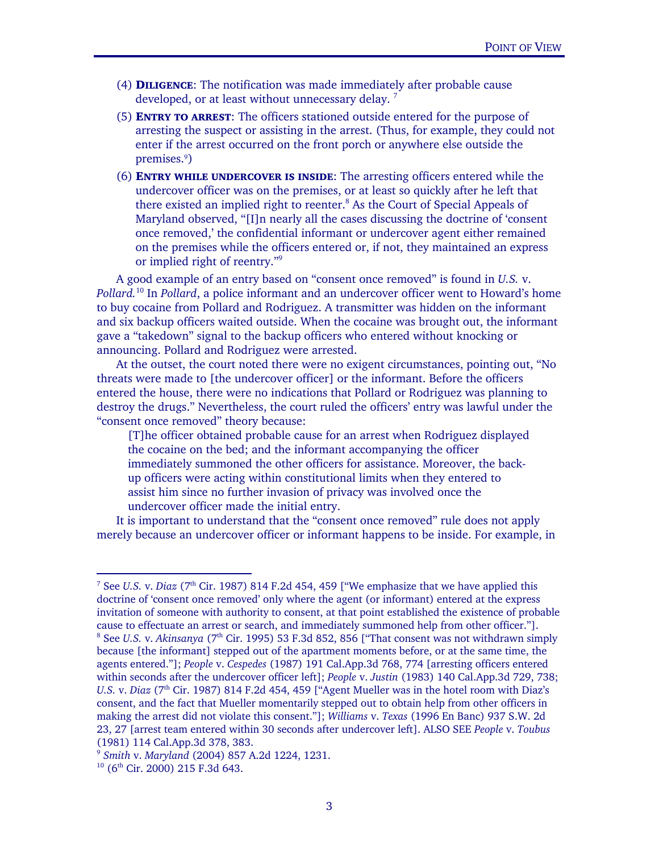- (4) DILIGENCE: The notification was made immediately after probable cause developed, or at least without unnecessary delay.<sup>[7](#page-2-0)</sup>
- (5) ENTRY TO ARREST: The officers stationed outside entered for the purpose of arresting the suspect or assisting in the arrest. (Thus, for example, they could not enter if the arrest occurred on the front porch or anywhere else outside the premises.9 )
- (6) ENTRY WHILE UNDERCOVER IS INSIDE: The arresting officers entered while the undercover officer was on the premises, or at least so quickly after he left that there existed an implied right to reenter.<sup>8</sup> As the Court of Special Appeals of Maryland observed, "[I]n nearly all the cases discussing the doctrine of 'consent once removed,' the confidential informant or undercover agent either remained on the premises while the officers entered or, if not, they maintained an express or implied right of reentry."[9](#page-2-2)

A good example of an entry based on "consent once removed" is found in *U.S.* v. *Pollard.*[10](#page-2-3) In *Pollard*, a police informant and an undercover officer went to Howard's home to buy cocaine from Pollard and Rodriguez. A transmitter was hidden on the informant and six backup officers waited outside. When the cocaine was brought out, the informant gave a "takedown" signal to the backup officers who entered without knocking or announcing. Pollard and Rodriguez were arrested.

At the outset, the court noted there were no exigent circumstances, pointing out, "No threats were made to [the undercover officer] or the informant. Before the officers entered the house, there were no indications that Pollard or Rodriguez was planning to destroy the drugs." Nevertheless, the court ruled the officers' entry was lawful under the "consent once removed" theory because:

[T]he officer obtained probable cause for an arrest when Rodriguez displayed the cocaine on the bed; and the informant accompanying the officer immediately summoned the other officers for assistance. Moreover, the backup officers were acting within constitutional limits when they entered to assist him since no further invasion of privacy was involved once the undercover officer made the initial entry.

It is important to understand that the "consent once removed" rule does not apply merely because an undercover officer or informant happens to be inside. For example, in

<span id="page-2-1"></span><span id="page-2-0"></span><sup>-&</sup>lt;br>7 <sup>7</sup> See *U.S.* v. *Diaz* ( $7<sup>th</sup>$  Cir. 1987) 814 F.2d 454, 459 ["We emphasize that we have applied this doctrine of 'consent once removed' only where the agent (or informant) entered at the express invitation of someone with authority to consent, at that point established the existence of probable cause to effectuate an arrest or search, and immediately summoned help from other officer."]. 8 <sup>8</sup> See *U.S.* v. *Akinsanya* (7<sup>th</sup> Cir. 1995) 53 F.3d 852, 856 ["That consent was not withdrawn simply because [the informant] stepped out of the apartment moments before, or at the same time, the agents entered."]; *People* v. *Cespedes* (1987) 191 Cal.App.3d 768, 774 [arresting officers entered within seconds after the undercover officer left]; *People* v. *Justin* (1983) 140 Cal.App.3d 729, 738; *U.S.* v. *Diaz* (7<sup>th</sup> Cir. 1987) 814 F.2d 454, 459 ["Agent Mueller was in the hotel room with Diaz's consent, and the fact that Mueller momentarily stepped out to obtain help from other officers in making the arrest did not violate this consent."]; *Williams* v. *Texas* (1996 En Banc) 937 S.W. 2d 23, 27 [arrest team entered within 30 seconds after undercover left]. ALSO SEE *People* v. *Toubus*

<span id="page-2-2"></span><sup>(1981) 114</sup> Cal.App.3d 378, 383. 9 *Smith* v. *Maryland* (2004) 857 A.2d 1224, 1231. 10 (6th Cir. 2000) 215 F.3d 643.

<span id="page-2-3"></span>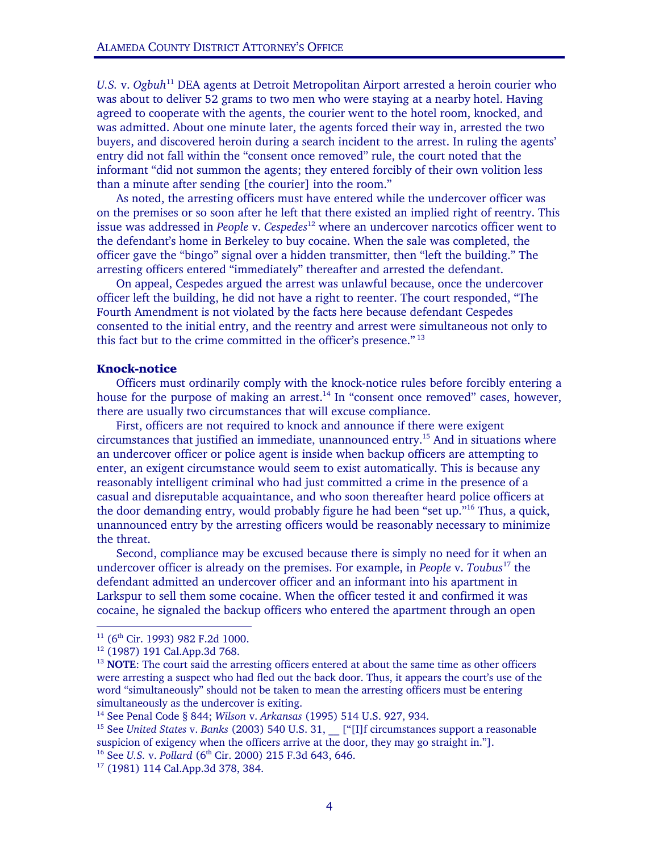*U.S.* v. *Ogbuh*[11](#page-3-0) DEA agents at Detroit Metropolitan Airport arrested a heroin courier who was about to deliver 52 grams to two men who were staying at a nearby hotel. Having agreed to cooperate with the agents, the courier went to the hotel room, knocked, and was admitted. About one minute later, the agents forced their way in, arrested the two buyers, and discovered heroin during a search incident to the arrest. In ruling the agents' entry did not fall within the "consent once removed" rule, the court noted that the informant "did not summon the agents; they entered forcibly of their own volition less than a minute after sending [the courier] into the room."

As noted, the arresting officers must have entered while the undercover officer was on the premises or so soon after he left that there existed an implied right of reentry. This issue was addressed in *People* v. *Cespedes*[12](#page-3-1) where an undercover narcotics officer went to the defendant's home in Berkeley to buy cocaine. When the sale was completed, the officer gave the "bingo" signal over a hidden transmitter, then "left the building." The arresting officers entered "immediately" thereafter and arrested the defendant.

On appeal, Cespedes argued the arrest was unlawful because, once the undercover officer left the building, he did not have a right to reenter. The court responded, "The Fourth Amendment is not violated by the facts here because defendant Cespedes consented to the initial entry, and the reentry and arrest were simultaneous not only to this fact but to the crime committed in the officer's presence."<sup>[13](#page-3-2)</sup>

#### Knock-notice

Officers must ordinarily comply with the knock-notice rules before forcibly entering a house for the purpose of making an arrest.<sup>14</sup> In "consent once removed" cases, however, there are usually two circumstances that will excuse compliance.

First, officers are not required to knock and announce if there were exigent circumstances that justified an immediate, unannounced entry.[15](#page-3-4) And in situations where an undercover officer or police agent is inside when backup officers are attempting to enter, an exigent circumstance would seem to exist automatically. This is because any reasonably intelligent criminal who had just committed a crime in the presence of a casual and disreputable acquaintance, and who soon thereafter heard police officers at the door demanding entry, would probably figure he had been "set up."[16](#page-3-5) Thus, a quick, unannounced entry by the arresting officers would be reasonably necessary to minimize the threat.

Second, compliance may be excused because there is simply no need for it when an undercover officer is already on the premises. For example, in *People* v. *Toubus*[17 t](#page-3-6)he defendant admitted an undercover officer and an informant into his apartment in Larkspur to sell them some cocaine. When the officer tested it and confirmed it was cocaine, he signaled the backup officers who entered the apartment through an open

<span id="page-3-0"></span>

<span id="page-3-2"></span><span id="page-3-1"></span>

<sup>&</sup>lt;sup>11</sup> (6<sup>th</sup> Cir. 1993) 982 F.2d 1000.<br><sup>12</sup> (1987) 191 Cal.App.3d 768.<br><sup>13</sup> **NOTE**: The court said the arresting officers entered at about the same time as other officers were arresting a suspect who had fled out the back door. Thus, it appears the court's use of the word "simultaneously" should not be taken to mean the arresting officers must be entering simultaneously as the undercover is exiting.<br><sup>14</sup> See Penal Code § 844; *Wilson v. Arkansas* (1995) 514 U.S. 927, 934.<br><sup>15</sup> See *United States v. Banks* (2003) 540 U.S. 31, \_\_ ["[I]f circumstances support a reasonable

<span id="page-3-3"></span>

<span id="page-3-4"></span>suspicion of exigency when the officers arrive at the door, they may go straight in."].<br><sup>16</sup> See *U.S.* v. *Pollard* (6<sup>th</sup> Cir. 2000) 215 F.3d 643, 646. <sup>17</sup> (1981) 114 Cal.App.3d 378, 384.

<span id="page-3-6"></span><span id="page-3-5"></span>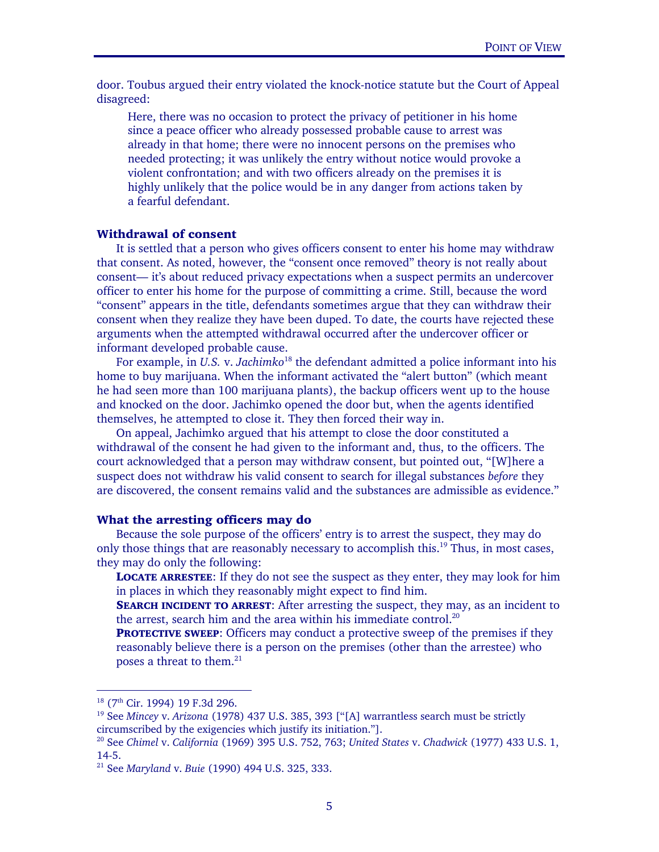door. Toubus argued their entry violated the knock-notice statute but the Court of Appeal disagreed:

Here, there was no occasion to protect the privacy of petitioner in his home since a peace officer who already possessed probable cause to arrest was already in that home; there were no innocent persons on the premises who needed protecting; it was unlikely the entry without notice would provoke a violent confrontation; and with two officers already on the premises it is highly unlikely that the police would be in any danger from actions taken by a fearful defendant.

### Withdrawal of consent

It is settled that a person who gives officers consent to enter his home may withdraw that consent. As noted, however, the "consent once removed" theory is not really about consent— it's about reduced privacy expectations when a suspect permits an undercover officer to enter his home for the purpose of committing a crime. Still, because the word "consent" appears in the title, defendants sometimes argue that they can withdraw their consent when they realize they have been duped. To date, the courts have rejected these arguments when the attempted withdrawal occurred after the undercover officer or informant developed probable cause.

For example, in *U.S.* v. *Jachimko*<sup>18</sup> the defendant admitted a police informant into his home to buy marijuana. When the informant activated the "alert button" (which meant he had seen more than 100 marijuana plants), the backup officers went up to the house and knocked on the door. Jachimko opened the door but, when the agents identified themselves, he attempted to close it. They then forced their way in.

On appeal, Jachimko argued that his attempt to close the door constituted a withdrawal of the consent he had given to the informant and, thus, to the officers. The court acknowledged that a person may withdraw consent, but pointed out, "[W]here a suspect does not withdraw his valid consent to search for illegal substances *before* they are discovered, the consent remains valid and the substances are admissible as evidence."

#### What the arresting officers may do

Because the sole purpose of the officers' entry is to arrest the suspect, they may do only those things that are reasonably necessary to accomplish this.<sup>19</sup> Thus, in most cases, they may do only the following:

LOCATE ARRESTEE: If they do not see the suspect as they enter, they may look for him in places in which they reasonably might expect to find him.

**SEARCH INCIDENT TO ARREST:** After arresting the suspect, they may, as an incident to the arrest, search him and the area within his immediate control.<sup>20</sup>

**PROTECTIVE SWEEP:** Officers may conduct a protective sweep of the premises if they reasonably believe there is a person on the premises (other than the arrestee) who poses a threat to them.<sup>21</sup>

<span id="page-4-1"></span><span id="page-4-0"></span>

<sup>&</sup>lt;sup>18</sup> (7<sup>th</sup> Cir. 1994) 19 F.3d 296.<br><sup>19</sup> See *Mincey* v. *Arizona* (1978) 437 U.S. 385, 393 ["[A] warrantless search must be strictly circumscribed by the exigencies which justify its initiation."].

<span id="page-4-2"></span>circumscribed by the exigencies which justify its initiation."]. 20 See *Chimel* v. *California* (1969) 395 U.S. 752, 763; *United States* v. *Chadwick* (1977) 433 U.S. 1, 14-5.

<span id="page-4-3"></span><sup>21</sup> See *Maryland* v. *Buie* (1990) 494 U.S. 325, 333.